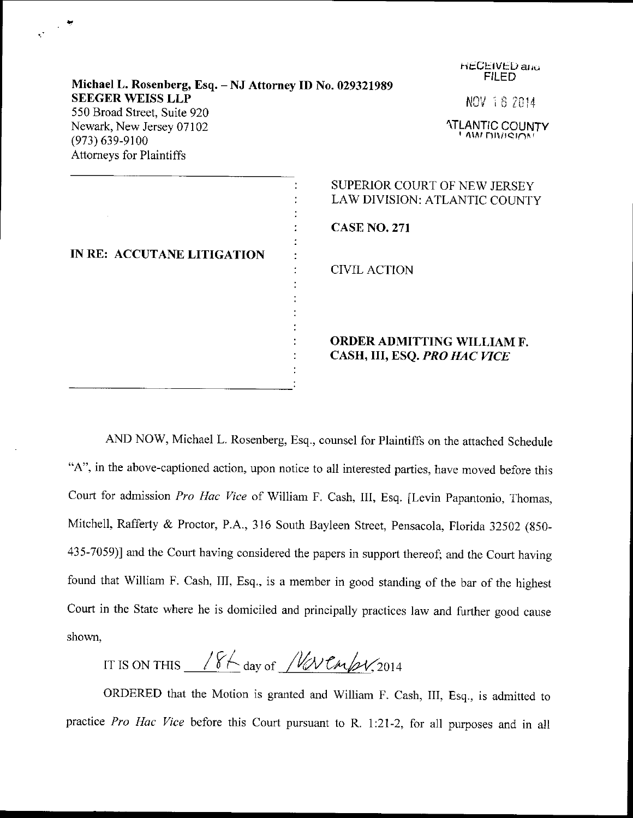| Michael L. Rosenberg, Esq. - NJ Attorney ID No. 029321989                | <b>HECEIVED and</b><br><b>FILED</b>                           |
|--------------------------------------------------------------------------|---------------------------------------------------------------|
| <b>SEEGER WEISS LLP</b><br>550 Broad Street, Suite 920                   | NOV 18 2014                                                   |
| Newark, New Jersey 07102<br>$(973)$ 639-9100<br>Attorneys for Plaintiffs | <b>ATLANTIC COUNTY</b><br>! AM DIVIOIOM                       |
| IN RE: ACCUTANE LITIGATION                                               | SUPERIOR COURT OF NEW JERSEY<br>LAW DIVISION: ATLANTIC COUNTY |
|                                                                          | <b>CASE NO. 271</b>                                           |
|                                                                          | <b>CIVIL ACTION</b>                                           |
|                                                                          | ORDER ADMITTING WILLIAM F.<br>CASH, III, ESQ. PRO HAC VICE    |

AND NOW, Michael L. Rosenberg, Esq., counsel for plaintiffs on the attached Schedule "A", in the above-captioned action, upon notice to all interested parties, have moved before this Court for admission Pro Hac Vice of William F. Cash, III, Esq. [Levin Papantonio, Thomas, Mitchell, Rafferty & Proctor, P.A., 316 South Bayleen Street, Pensacola, Florida 32502 (850-435-7059)] and the court having considered the papers in support thereof; and the court having found that william F. cash, III, Esq., is a member in good standing of the bar of the highest Court in the State where he is domiciled and principally practices law and further good cause shown,

IT IS ON THIS  $18K_{\text{day of}}$  / W CmpV, 2014

ORDERED that the Motion is granted and William F. Cash, III, Esq., is admitted to practice Pro Hac Vice before this Court pursuant to R. 1:21-2, for all purposes and in all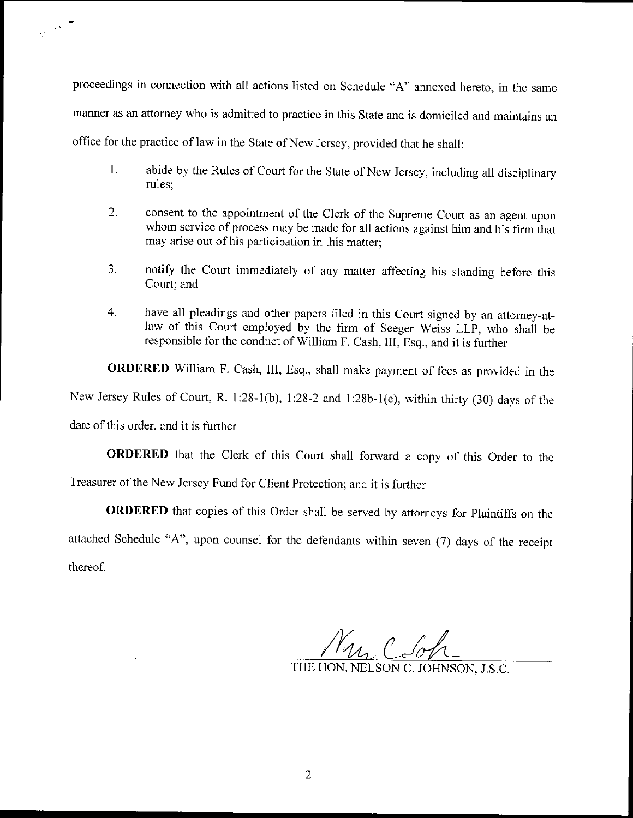proceedings in connection with all actions listed on Schedule "A" annexed hereto, in the same manner as an attomey who is admitted to practice in this State and is domiciled and maintains an office for the practice of law in the State of New Jersey, provided that he shall:

- 1. abide by the Rules of Court for the State of New Jersey, including all disciplinary rules;
- $2.$ consent to the appointment of the Clerk of the Supreme Court as an agent upon whom service of process may be made for all actions against him and his firm that may arise out of his participation in this matter;
- 3. notify the Court immediately of any matter affecting his standing before this Court; and
- have all pleadings and other papers filed in this Court signed by an attorney-at-4. law of this Court employed by the firm of Seeger Weiss LLP, who shall be responsible for the conduct of William F. Cash, III, Esq., and it is further

ORDERED William F. Cash, III, Esq., shall make payment of fees as provided in the New Jersey Rules of Court, R. 1:28-1(b), l:28-2 and 1:28b-1(e), within thirty (30) days of rhe

date of this order, and it is further

ORDERED that the clerk of this court shall forward a copy of this order to the Treasurer of the New Jersey Fund for Client Protection; and it is further

ORDERED that copies of this Order shall be served by attomeys for Plaintiffs on the attached Schedule "A", upon counsel for the defendants within seven (7) days of the receipt thereof.

My C-6h